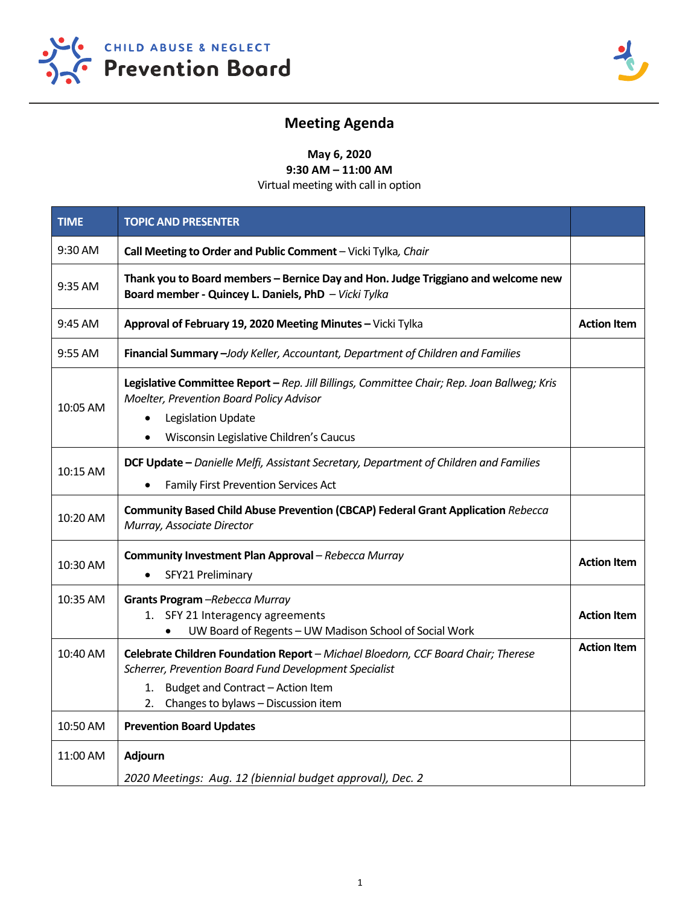



## **Meeting Agenda**

**May 6, 2020 9:30 AM – 11:00 AM** 

Virtual meeting with call in option

| <b>TIME</b> | <b>TOPIC AND PRESENTER</b>                                                                                                                                                                                                          |                    |
|-------------|-------------------------------------------------------------------------------------------------------------------------------------------------------------------------------------------------------------------------------------|--------------------|
| 9:30 AM     | Call Meeting to Order and Public Comment - Vicki Tylka, Chair                                                                                                                                                                       |                    |
| 9:35 AM     | Thank you to Board members - Bernice Day and Hon. Judge Triggiano and welcome new<br>Board member - Quincey L. Daniels, PhD - Vicki Tylka                                                                                           |                    |
| 9:45 AM     | Approval of February 19, 2020 Meeting Minutes - Vicki Tylka                                                                                                                                                                         | <b>Action Item</b> |
| 9:55 AM     | Financial Summary -Jody Keller, Accountant, Department of Children and Families                                                                                                                                                     |                    |
| 10:05 AM    | Legislative Committee Report - Rep. Jill Billings, Committee Chair; Rep. Joan Ballweg; Kris<br>Moelter, Prevention Board Policy Advisor<br><b>Legislation Update</b><br>Wisconsin Legislative Children's Caucus                     |                    |
| 10:15 AM    | DCF Update - Danielle Melfi, Assistant Secretary, Department of Children and Families<br>Family First Prevention Services Act                                                                                                       |                    |
| 10:20 AM    | Community Based Child Abuse Prevention (CBCAP) Federal Grant Application Rebecca<br>Murray, Associate Director                                                                                                                      |                    |
| 10:30 AM    | Community Investment Plan Approval - Rebecca Murray<br>SFY21 Preliminary                                                                                                                                                            | <b>Action Item</b> |
| 10:35 AM    | Grants Program -Rebecca Murray<br>1. SFY 21 Interagency agreements<br>UW Board of Regents - UW Madison School of Social Work                                                                                                        | <b>Action Item</b> |
| 10:40 AM    | Celebrate Children Foundation Report - Michael Bloedorn, CCF Board Chair; Therese<br>Scherrer, Prevention Board Fund Development Specialist<br>Budget and Contract - Action Item<br>1.<br>Changes to bylaws - Discussion item<br>2. | <b>Action Item</b> |
| 10:50 AM    | <b>Prevention Board Updates</b>                                                                                                                                                                                                     |                    |
| 11:00 AM    | <b>Adjourn</b><br>2020 Meetings: Aug. 12 (biennial budget approval), Dec. 2                                                                                                                                                         |                    |